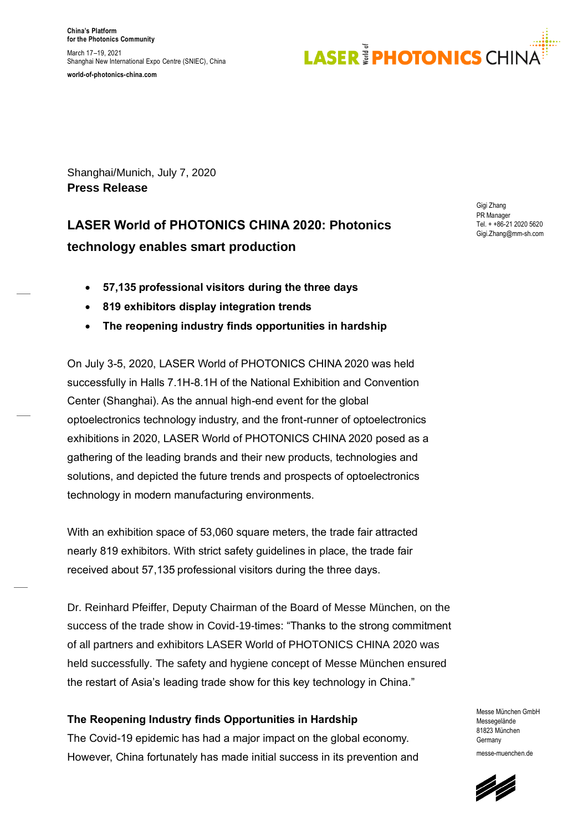

Shanghai/Munich, July 7, 2020 **Press Release**

### **LASER World of PHOTONICS CHINA 2020: Photonics technology enables smart production**

- **57,135 professional visitors during the three days**
- **819 exhibitors display integration trends**
- **The reopening industry finds opportunities in hardship**

On July 3-5, 2020, LASER World of PHOTONICS CHINA 2020 was held successfully in Halls 7.1H-8.1H of the National Exhibition and Convention Center (Shanghai). As the annual high-end event for the global optoelectronics technology industry, and the front-runner of optoelectronics exhibitions in 2020, LASER World of PHOTONICS CHINA 2020 posed as a gathering of the leading brands and their new products, technologies and solutions, and depicted the future trends and prospects of optoelectronics technology in modern manufacturing environments.

With an exhibition space of 53,060 square meters, the trade fair attracted nearly 819 exhibitors. With strict safety guidelines in place, the trade fair received about 57,135 professional visitors during the three days.

Dr. Reinhard Pfeiffer, Deputy Chairman of the Board of Messe München, on the success of the trade show in Covid-19-times: "Thanks to the strong commitment of all partners and exhibitors LASER World of PHOTONICS CHINA 2020 was held successfully. The safety and hygiene concept of Messe München ensured the restart of Asia's leading trade show for this key technology in China."

### **The Reopening Industry finds Opportunities in Hardship**

The Covid-19 epidemic has had a major impact on the global economy. However, China fortunately has made initial success in its prevention and Gigi Zhang PR Manager Tel. + +86-21 2020 5620 Gigi.Zhang@mm-sh.com

Messe München GmbH Messegelände 81823 München Germany messe-muenchen.de

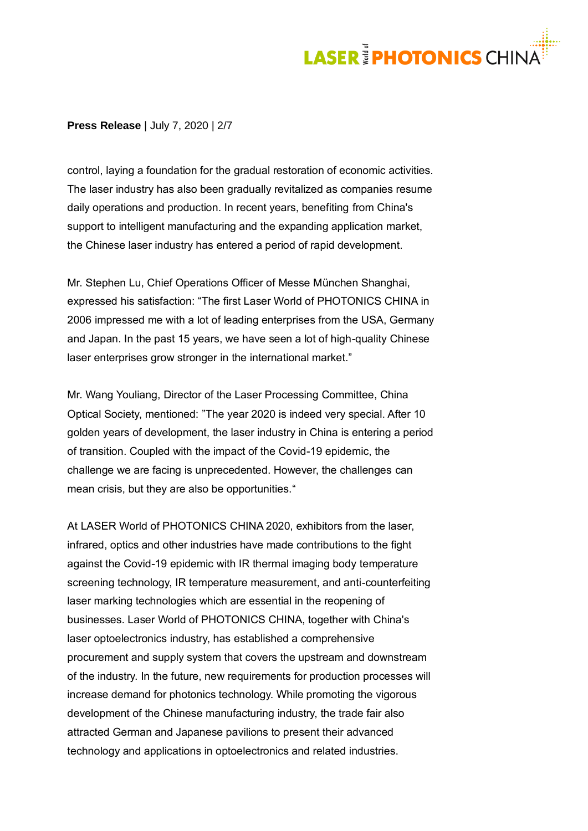# **LASER PHOTONICS CHINA**

#### **Press Release** | July 7, 2020 | 2/7

control, laying a foundation for the gradual restoration of economic activities. The laser industry has also been gradually revitalized as companies resume daily operations and production. In recent years, benefiting from China's support to intelligent manufacturing and the expanding application market, the Chinese laser industry has entered a period of rapid development.

Mr. Stephen Lu, Chief Operations Officer of Messe München Shanghai, expressed his satisfaction: "The first Laser World of PHOTONICS CHINA in 2006 impressed me with a lot of leading enterprises from the USA, Germany and Japan. In the past 15 years, we have seen a lot of high-quality Chinese laser enterprises grow stronger in the international market."

Mr. Wang Youliang, Director of the Laser Processing Committee, China Optical Society, mentioned: "The year 2020 is indeed very special. After 10 golden years of development, the laser industry in China is entering a period of transition. Coupled with the impact of the Covid-19 epidemic, the challenge we are facing is unprecedented. However, the challenges can mean crisis, but they are also be opportunities."

At LASER World of PHOTONICS CHINA 2020, exhibitors from the laser, infrared, optics and other industries have made contributions to the fight against the Covid-19 epidemic with IR thermal imaging body temperature screening technology, IR temperature measurement, and anti-counterfeiting laser marking technologies which are essential in the reopening of businesses. Laser World of PHOTONICS CHINA, together with China's laser optoelectronics industry, has established a comprehensive procurement and supply system that covers the upstream and downstream of the industry. In the future, new requirements for production processes will increase demand for photonics technology. While promoting the vigorous development of the Chinese manufacturing industry, the trade fair also attracted German and Japanese pavilions to present their advanced technology and applications in optoelectronics and related industries.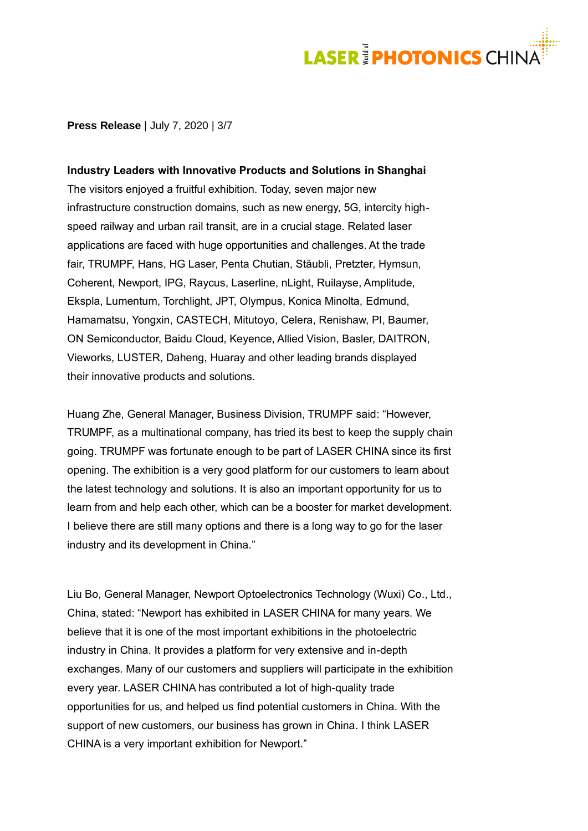### **LASER<sup>#</sup>PHOTONICS** CHIN

#### **Press Release** | July 7, 2020 | 3/7

**Industry Leaders with Innovative Products and Solutions in Shanghai** The visitors enjoyed a fruitful exhibition. Today, seven major new infrastructure construction domains, such as new energy, 5G, intercity highspeed railway and urban rail transit, are in a crucial stage. Related laser applications are faced with huge opportunities and challenges. At the trade fair, TRUMPF, Hans, HG Laser, Penta Chutian, Stäubli, Pretzter, Hymsun, Coherent, Newport, IPG, Raycus, Laserline, nLight, Ruilayse, Amplitude, Ekspla, Lumentum, Torchlight, JPT, Olympus, Konica Minolta, Edmund, Hamamatsu, Yongxin, CASTECH, Mitutoyo, Celera, Renishaw, PI, Baumer, ON Semiconductor, Baidu Cloud, Keyence, Allied Vision, Basler, DAITRON, Vieworks, LUSTER, Daheng, Huaray and other leading brands displayed their innovative products and solutions.

Huang Zhe, General Manager, Business Division, TRUMPF said: "However, TRUMPF, as a multinational company, has tried its best to keep the supply chain going. TRUMPF was fortunate enough to be part of LASER CHINA since its first opening. The exhibition is a very good platform for our customers to learn about the latest technology and solutions. It is also an important opportunity for us to learn from and help each other, which can be a booster for market development. I believe there are still many options and there is a long way to go for the laser industry and its development in China."

Liu Bo, General Manager, Newport Optoelectronics Technology (Wuxi) Co., Ltd., China, stated: "Newport has exhibited in LASER CHINA for many years. We believe that it is one of the most important exhibitions in the photoelectric industry in China. It provides a platform for very extensive and in-depth exchanges. Many of our customers and suppliers will participate in the exhibition every year. LASER CHINA has contributed a lot of high-quality trade opportunities for us, and helped us find potential customers in China. With the support of new customers, our business has grown in China. I think LASER CHINA is a very important exhibition for Newport."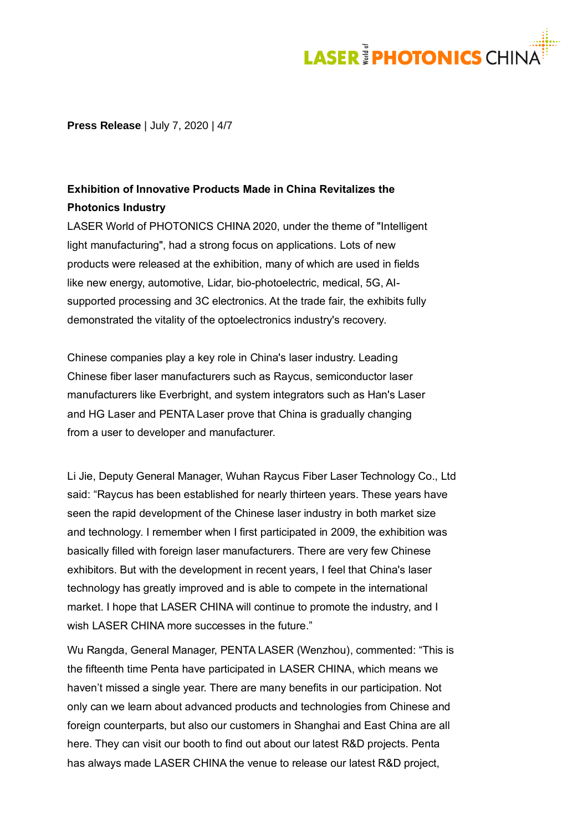### **LASER<sup>3</sup>PHOTONICS** CHIN

**Press Release** | July 7, 2020 | 4/7

### **Exhibition of Innovative Products Made in China Revitalizes the Photonics Industry**

LASER World of PHOTONICS CHINA 2020, under the theme of "Intelligent light manufacturing", had a strong focus on applications. Lots of new products were released at the exhibition, many of which are used in fields like new energy, automotive, Lidar, bio-photoelectric, medical, 5G, AIsupported processing and 3C electronics. At the trade fair, the exhibits fully demonstrated the vitality of the optoelectronics industry's recovery.

Chinese companies play a key role in China's laser industry. Leading Chinese fiber laser manufacturers such as Raycus, semiconductor laser manufacturers like Everbright, and system integrators such as Han's Laser and HG Laser and PENTA Laser prove that China is gradually changing from a user to developer and manufacturer.

Li Jie, Deputy General Manager, Wuhan Raycus Fiber Laser Technology Co., Ltd said: "Raycus has been established for nearly thirteen years. These years have seen the rapid development of the Chinese laser industry in both market size and technology. I remember when I first participated in 2009, the exhibition was basically filled with foreign laser manufacturers. There are very few Chinese exhibitors. But with the development in recent years, I feel that China's laser technology has greatly improved and is able to compete in the international market. I hope that LASER CHINA will continue to promote the industry, and I wish LASER CHINA more successes in the future."

Wu Rangda, General Manager, PENTA LASER (Wenzhou), commented: "This is the fifteenth time Penta have participated in LASER CHINA, which means we haven't missed a single year. There are many benefits in our participation. Not only can we learn about advanced products and technologies from Chinese and foreign counterparts, but also our customers in Shanghai and East China are all here. They can visit our booth to find out about our latest R&D projects. Penta has always made LASER CHINA the venue to release our latest R&D project,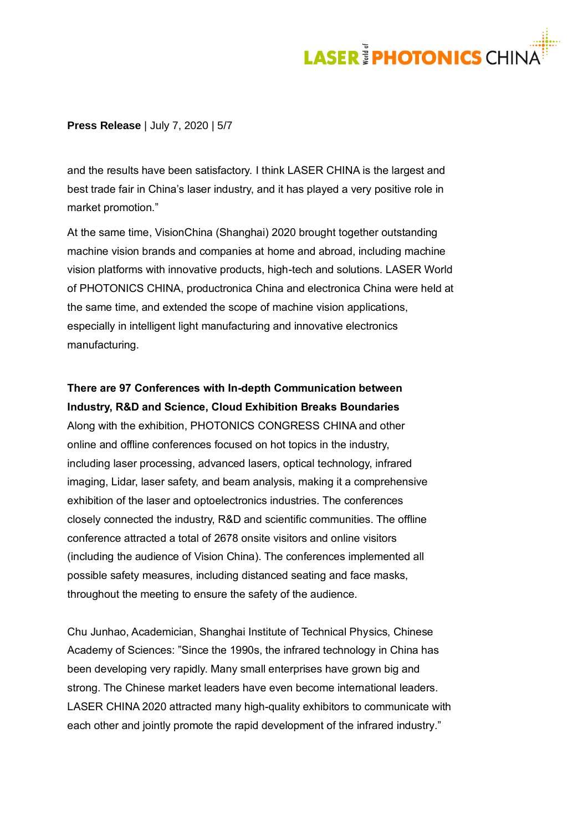# **LASER<sup>3</sup> PHOTONICS** CHIN

### **Press Release** | July 7, 2020 | 5/7

and the results have been satisfactory. I think LASER CHINA is the largest and best trade fair in China's laser industry, and it has played a very positive role in market promotion."

At the same time, VisionChina (Shanghai) 2020 brought together outstanding machine vision brands and companies at home and abroad, including machine vision platforms with innovative products, high-tech and solutions. LASER World of PHOTONICS CHINA, productronica China and electronica China were held at the same time, and extended the scope of machine vision applications, especially in intelligent light manufacturing and innovative electronics manufacturing.

### **There are 97 Conferences with In-depth Communication between Industry, R&D and Science, Cloud Exhibition Breaks Boundaries**

Along with the exhibition, PHOTONICS CONGRESS CHINA and other online and offline conferences focused on hot topics in the industry, including laser processing, advanced lasers, optical technology, infrared imaging, Lidar, laser safety, and beam analysis, making it a comprehensive exhibition of the laser and optoelectronics industries. The conferences closely connected the industry, R&D and scientific communities. The offline conference attracted a total of 2678 onsite visitors and online visitors (including the audience of Vision China). The conferences implemented all possible safety measures, including distanced seating and face masks, throughout the meeting to ensure the safety of the audience.

Chu Junhao, Academician, Shanghai Institute of Technical Physics, Chinese Academy of Sciences: "Since the 1990s, the infrared technology in China has been developing very rapidly. Many small enterprises have grown big and strong. The Chinese market leaders have even become international leaders. LASER CHINA 2020 attracted many high-quality exhibitors to communicate with each other and jointly promote the rapid development of the infrared industry."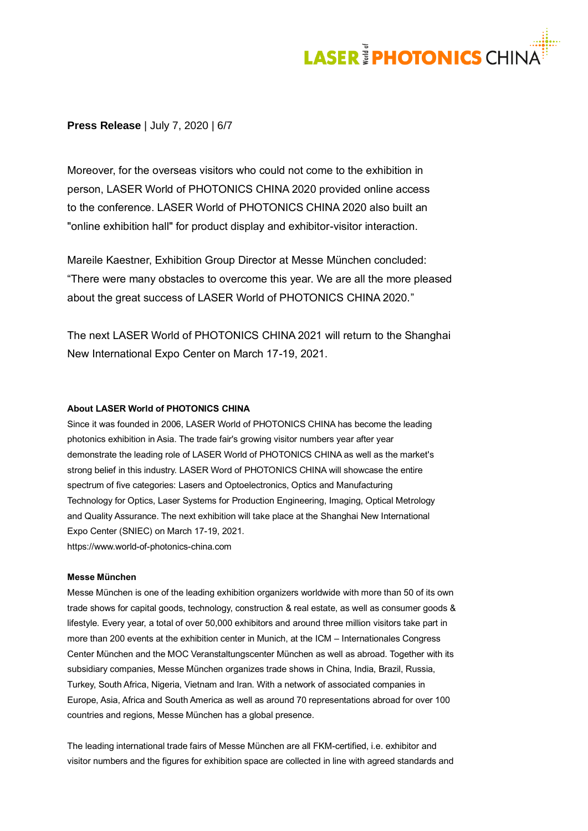# **LASER<sup>3</sup>PHOTONICS** CHINA

#### **Press Release** | July 7, 2020 | 6/7

Moreover, for the overseas visitors who could not come to the exhibition in person, LASER World of PHOTONICS CHINA 2020 provided online access to the conference. LASER World of PHOTONICS CHINA 2020 also built an "online exhibition hall" for product display and exhibitor-visitor interaction.

Mareile Kaestner, Exhibition Group Director at Messe München concluded: "There were many obstacles to overcome this year. We are all the more pleased about the great success of LASER World of PHOTONICS CHINA 2020."

The next LASER World of PHOTONICS CHINA 2021 will return to the Shanghai New International Expo Center on March 17-19, 2021.

#### **About LASER World of PHOTONICS CHINA**

Since it was founded in 2006, LASER World of PHOTONICS CHINA has become the leading photonics exhibition in Asia. The trade fair's growing visitor numbers year after year demonstrate the leading role of LASER World of PHOTONICS CHINA as well as the market's strong belief in this industry. LASER Word of PHOTONICS CHINA will showcase the entire spectrum of five categories: Lasers and Optoelectronics, Optics and Manufacturing Technology for Optics, Laser Systems for Production Engineering, Imaging, Optical Metrology and Quality Assurance. The next exhibition will take place at the Shanghai New International Expo Center (SNIEC) on March 17-19, 2021. [https://www.world-of-photonics-china.com](https://www.world-of-photonics-china.com/)

#### **Messe München**

Messe München is one of the leading exhibition organizers worldwide with more than 50 of its own trade shows for capital goods, technology, construction & real estate, as well as consumer goods & lifestyle. Every year, a total of over 50,000 exhibitors and around three million visitors take part in more than 200 events at the exhibition center in Munich, at the ICM – Internationales Congress Center München and the MOC Veranstaltungscenter München as well as abroad. Together with its subsidiary companies, Messe München organizes trade shows in China, India, Brazil, Russia, Turkey, South Africa, Nigeria, Vietnam and Iran. With a network of associated companies in Europe, Asia, Africa and South America as well as around 70 representations abroad for over 100 countries and regions, Messe München has a global presence.

The leading international trade fairs of Messe München are all FKM-certified, i.e. exhibitor and visitor numbers and the figures for exhibition space are collected in line with agreed standards and